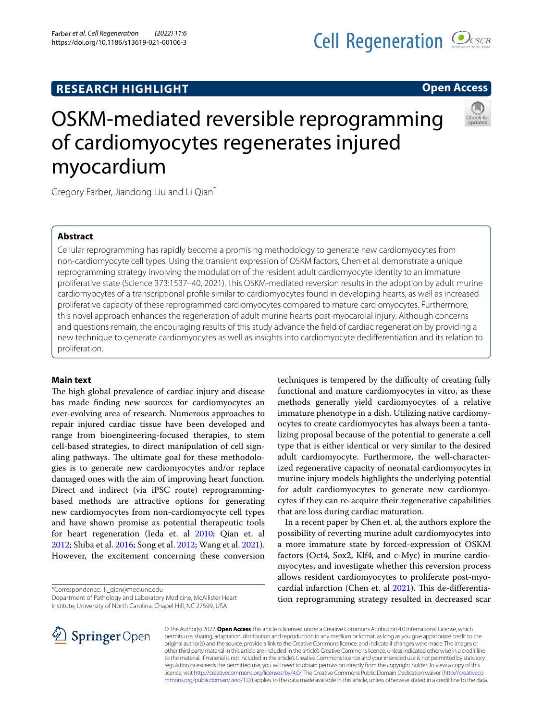Farber *et al. Cell Regeneration (2022) 11:6*  https://doi.org/10.1186/s13619-021-00106-3

# **Open Access**

# OSKM-mediated reversible reprogramming of cardiomyocytes regenerates injured myocardium

Gregory Farber, Jiandong Liu and Li Qian\*

# **Abstract**

Cellular reprogramming has rapidly become a promising methodology to generate new cardiomyocytes from non-cardiomyocyte cell types. Using the transient expression of OSKM factors, Chen et al. demonstrate a unique reprogramming strategy involving the modulation of the resident adult cardiomyocyte identity to an immature proliferative state (Science 373:1537–40, 2021). This OSKM-mediated reversion results in the adoption by adult murine cardiomyocytes of a transcriptional profle similar to cardiomyocytes found in developing hearts, as well as increased proliferative capacity of these reprogrammed cardiomyocytes compared to mature cardiomyocytes. Furthermore, this novel approach enhances the regeneration of adult murine hearts post-myocardial injury. Although concerns and questions remain, the encouraging results of this study advance the feld of cardiac regeneration by providing a new technique to generate cardiomyocytes as well as insights into cardiomyocyte dediferentiation and its relation to proliferation.

## **Main text**

The high global prevalence of cardiac injury and disease has made fnding new sources for cardiomyocytes an ever-evolving area of research. Numerous approaches to repair injured cardiac tissue have been developed and range from bioengineering-focused therapies, to stem cell-based strategies, to direct manipulation of cell signaling pathways. The ultimate goal for these methodologies is to generate new cardiomyocytes and/or replace damaged ones with the aim of improving heart function. Direct and indirect (via iPSC route) reprogrammingbased methods are attractive options for generating new cardiomyocytes from non-cardiomyocyte cell types and have shown promise as potential therapeutic tools for heart regeneration (Ieda et. al [2010;](#page-2-0) Qian et. al [2012](#page-2-1); Shiba et al. [2016](#page-2-2); Song et al. [2012;](#page-2-3) Wang et al. [2021](#page-2-4)). However, the excitement concerning these conversion

\*Correspondence: li\_qian@med.unc.edu

Department of Pathology and Laboratory Medicine, McAllister Heart Institute, University of North Carolina, Chapel Hill, NC 27599, USA

techniques is tempered by the difficulty of creating fully functional and mature cardiomyocytes in vitro, as these methods generally yield cardiomyocytes of a relative immature phenotype in a dish. Utilizing native cardiomyocytes to create cardiomyocytes has always been a tantalizing proposal because of the potential to generate a cell type that is either identical or very similar to the desired adult cardiomyocyte. Furthermore, the well-characterized regenerative capacity of neonatal cardiomyocytes in murine injury models highlights the underlying potential for adult cardiomyocytes to generate new cardiomyocytes if they can re-acquire their regenerative capabilities that are loss during cardiac maturation.

In a recent paper by Chen et. al, the authors explore the possibility of reverting murine adult cardiomyocytes into a more immature state by forced-expression of OSKM factors (Oct4, Sox2, Klf4, and c-Myc) in murine cardiomyocytes, and investigate whether this reversion process allows resident cardiomyocytes to proliferate post-myocardial infarction (Chen et. al  $2021$ ). This de-differentiation reprogramming strategy resulted in decreased scar



© The Author(s) 2022. **Open Access** This article is licensed under a Creative Commons Attribution 4.0 International License, which permits use, sharing, adaptation, distribution and reproduction in any medium or format, as long as you give appropriate credit to the original author(s) and the source, provide a link to the Creative Commons licence, and indicate if changes were made. The images or other third party material in this article are included in the article's Creative Commons licence, unless indicated otherwise in a credit line to the material. If material is not included in the article's Creative Commons licence and your intended use is not permitted by statutory regulation or exceeds the permitted use, you will need to obtain permission directly from the copyright holder. To view a copy of this licence, visit [http://creativecommons.org/licenses/by/4.0/.](http://creativecommons.org/licenses/by/4.0/) The Creative Commons Public Domain Dedication waiver ([http://creativeco](http://creativecommons.org/publicdomain/zero/1.0/) [mmons.org/publicdomain/zero/1.0/](http://creativecommons.org/publicdomain/zero/1.0/)) applies to the data made available in this article, unless otherwise stated in a credit line to the data.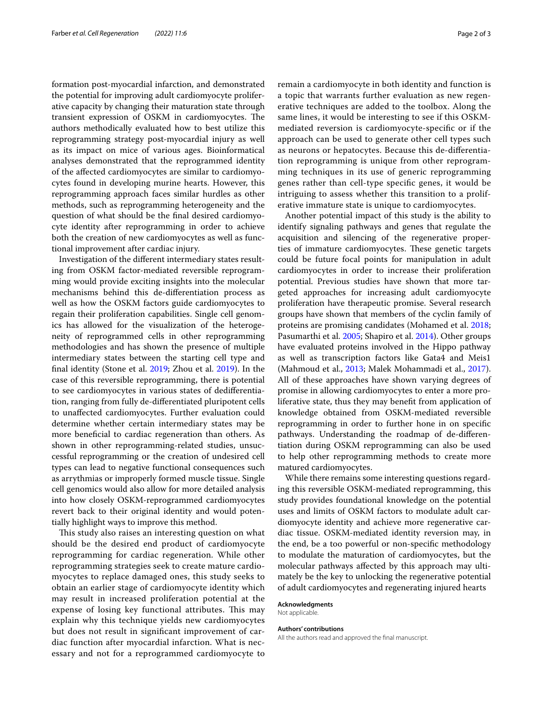formation post-myocardial infarction, and demonstrated the potential for improving adult cardiomyocyte proliferative capacity by changing their maturation state through transient expression of OSKM in cardiomyocytes. The authors methodically evaluated how to best utilize this reprogramming strategy post-myocardial injury as well as its impact on mice of various ages. Bioinformatical analyses demonstrated that the reprogrammed identity of the afected cardiomyocytes are similar to cardiomyocytes found in developing murine hearts. However, this reprogramming approach faces similar hurdles as other methods, such as reprogramming heterogeneity and the question of what should be the fnal desired cardiomyocyte identity after reprogramming in order to achieve both the creation of new cardiomyocytes as well as functional improvement after cardiac injury.

Investigation of the diferent intermediary states resulting from OSKM factor-mediated reversible reprogramming would provide exciting insights into the molecular mechanisms behind this de-diferentiation process as well as how the OSKM factors guide cardiomyocytes to regain their proliferation capabilities. Single cell genomics has allowed for the visualization of the heterogeneity of reprogrammed cells in other reprogramming methodologies and has shown the presence of multiple intermediary states between the starting cell type and fnal identity (Stone et al. [2019](#page-2-6); Zhou et al. [2019](#page-2-7)). In the case of this reversible reprogramming, there is potential to see cardiomyocytes in various states of dediferentiation, ranging from fully de-diferentiated pluripotent cells to unafected cardiomyocytes. Further evaluation could determine whether certain intermediary states may be more benefcial to cardiac regeneration than others. As shown in other reprogramming-related studies, unsuccessful reprogramming or the creation of undesired cell types can lead to negative functional consequences such as arrythmias or improperly formed muscle tissue. Single cell genomics would also allow for more detailed analysis into how closely OSKM-reprogrammed cardiomyocytes revert back to their original identity and would potentially highlight ways to improve this method.

This study also raises an interesting question on what should be the desired end product of cardiomyocyte reprogramming for cardiac regeneration. While other reprogramming strategies seek to create mature cardiomyocytes to replace damaged ones, this study seeks to obtain an earlier stage of cardiomyocyte identity which may result in increased proliferation potential at the expense of losing key functional attributes. This may explain why this technique yields new cardiomyocytes but does not result in signifcant improvement of cardiac function after myocardial infarction. What is necessary and not for a reprogrammed cardiomyocyte to remain a cardiomyocyte in both identity and function is a topic that warrants further evaluation as new regenerative techniques are added to the toolbox. Along the same lines, it would be interesting to see if this OSKMmediated reversion is cardiomyocyte-specifc or if the approach can be used to generate other cell types such as neurons or hepatocytes. Because this de-diferentiation reprogramming is unique from other reprogramming techniques in its use of generic reprogramming genes rather than cell-type specifc genes, it would be intriguing to assess whether this transition to a proliferative immature state is unique to cardiomyocytes.

Another potential impact of this study is the ability to identify signaling pathways and genes that regulate the acquisition and silencing of the regenerative properties of immature cardiomyocytes. These genetic targets could be future focal points for manipulation in adult cardiomyocytes in order to increase their proliferation potential. Previous studies have shown that more targeted approaches for increasing adult cardiomyocyte proliferation have therapeutic promise. Several research groups have shown that members of the cyclin family of proteins are promising candidates (Mohamed et al. [2018](#page-2-8); Pasumarthi et al. [2005;](#page-2-9) Shapiro et al. [2014\)](#page-2-10). Other groups have evaluated proteins involved in the Hippo pathway as well as transcription factors like Gata4 and Meis1 (Mahmoud et al., [2013;](#page-2-11) Malek Mohammadi et al., [2017](#page-2-12)). All of these approaches have shown varying degrees of promise in allowing cardiomyocytes to enter a more proliferative state, thus they may beneft from application of knowledge obtained from OSKM-mediated reversible reprogramming in order to further hone in on specifc pathways. Understanding the roadmap of de-diferentiation during OSKM reprogramming can also be used to help other reprogramming methods to create more matured cardiomyocytes.

While there remains some interesting questions regarding this reversible OSKM-mediated reprogramming, this study provides foundational knowledge on the potential uses and limits of OSKM factors to modulate adult cardiomyocyte identity and achieve more regenerative cardiac tissue. OSKM-mediated identity reversion may, in the end, be a too powerful or non-specifc methodology to modulate the maturation of cardiomyocytes, but the molecular pathways afected by this approach may ultimately be the key to unlocking the regenerative potential of adult cardiomyocytes and regenerating injured hearts

#### **Acknowledgments**

Not applicable.

#### **Authors' contributions**

All the authors read and approved the fnal manuscript.